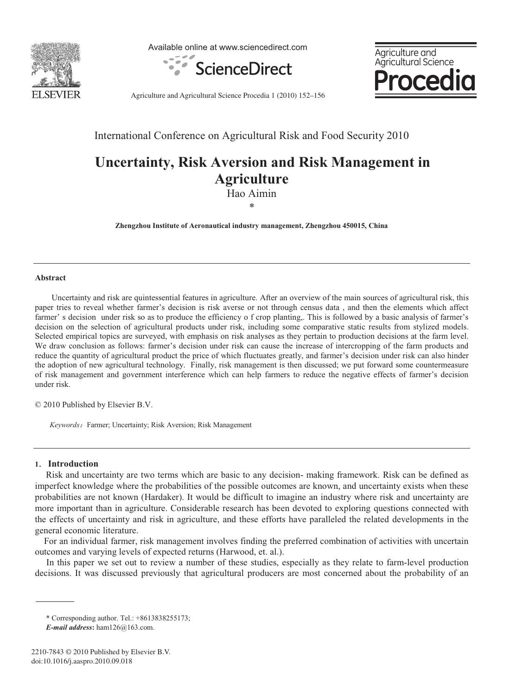

Available online at www.sciencedirect.com





Agriculture and Agricultural Science Procedia 1 (2010) 152–156

International Conference on Agricultural Risk and Food Security 2010

# **Uncertainty, Risk Aversion and Risk Management in Agriculture**

Hao Aimin \*

**Zhengzhou Institute of Aeronautical industry management, Zhengzhou 450015, China**

#### **Abstract**

Uncertainty and risk are quintessential features in agriculture. After an overview of the main sources of agricultural risk, this paper tries to reveal whether farmer's decision is risk averse or not through census data , and then the elements which affect farmer' s decision under risk so as to produce the efficiency o f crop planting. This is followed by a basic analysis of farmer's decision on the selection of agricultural products under risk, including some comparative static results from stylized models. Selected empirical topics are surveyed, with emphasis on risk analyses as they pertain to production decisions at the farm level. We draw conclusion as follows: farmer's decision under risk can cause the increase of intercropping of the farm products and reduce the quantity of agricultural product the price of which fluctuates greatly, and farmer's decision under risk can also hinder the adoption of new agricultural technology. Finally, risk management is then discussed; we put forward some countermeasure of risk management and government interference which can help farmers to reduce the negative effects of farmer's decision under risk.

© 2010 Published by Elsevier B.V.

Keywords: Farmer; Uncertainty; Risk Aversion; Risk Management

# **1**ˊ **Introduction**

Risk and uncertainty are two terms which are basic to any decision- making framework. Risk can be defined as imperfect knowledge where the probabilities of the possible outcomes are known, and uncertainty exists when these probabilities are not known (Hardaker). It would be difficult to imagine an industry where risk and uncertainty are more important than in agriculture. Considerable research has been devoted to exploring questions connected with the effects of uncertainty and risk in agriculture, and these efforts have paralleled the related developments in the general economic literature.

For an individual farmer, risk management involves finding the preferred combination of activities with uncertain outcomes and varying levels of expected returns (Harwood, et. al.).

In this paper we set out to review a number of these studies, especially as they relate to farm-level production decisions. It was discussed previously that agricultural producers are most concerned about the probability of an

<sup>\*</sup> Corresponding author. Tel.: +8613838255173;

*E-mail address***:** ham126@163.com.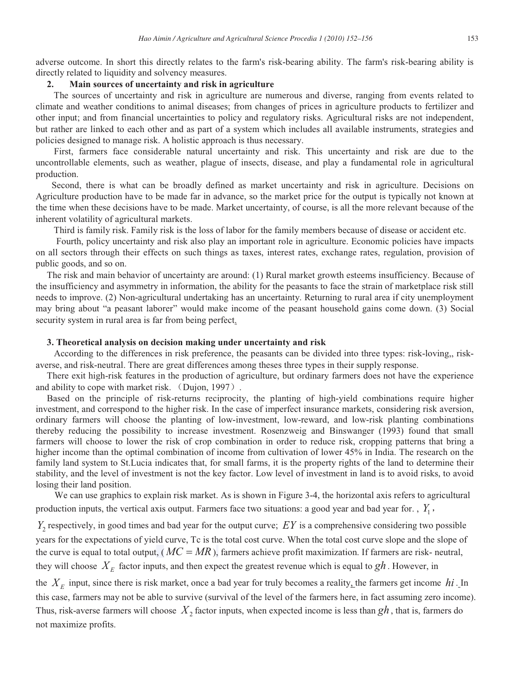adverse outcome. In short this directly relates to the farm's risk-bearing ability. The farm's risk-bearing ability is directly related to liquidity and solvency measures.

## **2. Main sources of uncertainty and risk in agriculture**

The sources of uncertainty and risk in agriculture are numerous and diverse, ranging from events related to climate and weather conditions to animal diseases; from changes of prices in agriculture products to fertilizer and other input; and from financial uncertainties to policy and regulatory risks. Agricultural risks are not independent, but rather are linked to each other and as part of a system which includes all available instruments, strategies and policies designed to manage risk. A holistic approach is thus necessary.

First, farmers face considerable natural uncertainty and risk. This uncertainty and risk are due to the uncontrollable elements, such as weather, plague of insects, disease, and play a fundamental role in agricultural production.

Second, there is what can be broadly defined as market uncertainty and risk in agriculture. Decisions on Agriculture production have to be made far in advance, so the market price for the output is typically not known at the time when these decisions have to be made. Market uncertainty, of course, is all the more relevant because of the inherent volatility of agricultural markets.

Third is family risk. Family risk is the loss of labor for the family members because of disease or accident etc.

Fourth, policy uncertainty and risk also play an important role in agriculture. Economic policies have impacts on all sectors through their effects on such things as taxes, interest rates, exchange rates, regulation, provision of public goods, and so on.

The risk and main behavior of uncertainty are around: (1) Rural market growth esteems insufficiency. Because of the insufficiency and asymmetry in information, the ability for the peasants to face the strain of marketplace risk still needs to improve. (2) Non-agricultural undertaking has an uncertainty. Returning to rural area if city unemployment may bring about "a peasant laborer" would make income of the peasant household gains come down. (3) Social security system in rural area is far from being perfect.

## **3. Theoretical analysis on decision making under uncertainty and risk**

According to the differences in risk preference, the peasants can be divided into three types: risk-loving,, riskaverse, and risk-neutral. There are great differences among theses three types in their supply response.

There exit high-risk features in the production of agriculture, but ordinary farmers does not have the experience and ability to cope with market risk. (Dujon, 1997).

Based on the principle of risk-returns reciprocity, the planting of high-yield combinations require higher investment, and correspond to the higher risk. In the case of imperfect insurance markets, considering risk aversion, ordinary farmers will choose the planting of low-investment, low-reward, and low-risk planting combinations thereby reducing the possibility to increase investment. Rosenzweig and Binswanger (1993) found that small farmers will choose to lower the risk of crop combination in order to reduce risk, cropping patterns that bring a higher income than the optimal combination of income from cultivation of lower 45% in India. The research on the family land system to St.Lucia indicates that, for small farms, it is the property rights of the land to determine their stability, and the level of investment is not the key factor. Low level of investment in land is to avoid risks, to avoid losing their land position.

We can use graphics to explain risk market. As is shown in Figure 3-4, the horizontal axis refers to agricultural production inputs, the vertical axis output. Farmers face two situations: a good year and bad year for. ,  $Y_1$ ,

 $Y_2$  respectively, in good times and bad year for the output curve;  $EY$  is a comprehensive considering two possible years for the expectations of yield curve, Tc is the total cost curve. When the total cost curve slope and the slope of the curve is equal to total output, ( $MC = MR$ ), farmers achieve profit maximization. If farmers are risk- neutral, they will choose  $X<sub>E</sub>$  factor inputs, and then expect the greatest revenue which is equal to  $gh$ . However, in

the  $X<sub>E</sub>$  input, since there is risk market, once a bad year for truly becomes a reality, the farmers get income  $hi$ . In this case, farmers may not be able to survive (survival of the level of the farmers here, in fact assuming zero income). Thus, risk-averse farmers will choose  $X_2$  factor inputs, when expected income is less than  $gh$ , that is, farmers do not maximize profits.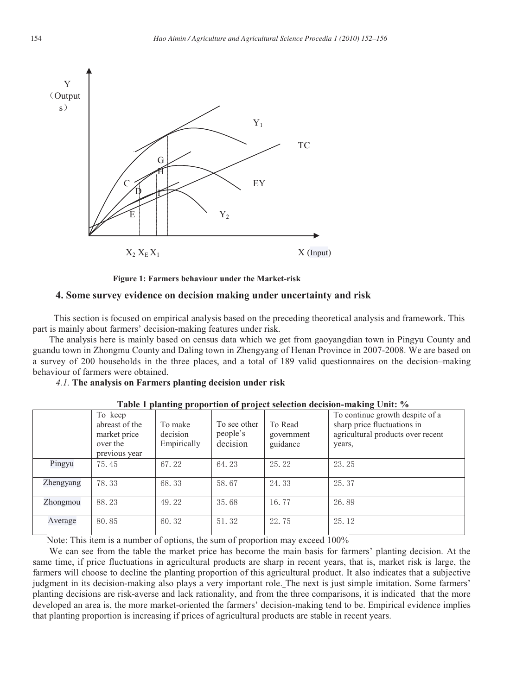

**Figure 1: Farmers behaviour under the Market-risk**

# **4. Some survey evidence on decision making under uncertainty and risk**

This section is focused on empirical analysis based on the preceding theoretical analysis and framework. This part is mainly about farmers' decision-making features under risk.

The analysis here is mainly based on census data which we get from gaoyangdian town in Pingyu County and guandu town in Zhongmu County and Daling town in Zhengyang of Henan Province in 2007-2008. We are based on a survey of 200 households in the three places, and a total of 189 valid questionnaires on the decision–making behaviour of farmers were obtained.

## *4.1.* **The analysis on Farmers planting decision under risk**

|           | To keep<br>abreast of the<br>market price<br>over the<br>previous year | To make<br>decision<br>Empirically | To see other<br>people's<br>decision | To Read<br>government<br>guidance | To continue growth despite of a<br>sharp price fluctuations in<br>agricultural products over recent<br>years, |
|-----------|------------------------------------------------------------------------|------------------------------------|--------------------------------------|-----------------------------------|---------------------------------------------------------------------------------------------------------------|
| Pingyu    | 75.45                                                                  | 67.22                              | 64.23                                | 25.22                             | 23.25                                                                                                         |
| Zhengyang | 78.33                                                                  | 68.33                              | 58.67                                | 24.33                             | 25.37                                                                                                         |
| Zhongmou  | 88.23                                                                  | 49.22                              | 35.68                                | 16.77                             | 26.89                                                                                                         |
| Average   | 80.85                                                                  | 60.32                              | 51.32                                | 22.75                             | 25.12                                                                                                         |

**Table 1 planting proportion of project selection decision-making Unit: %**

Note: This item is a number of options, the sum of proportion may exceed 100%

We can see from the table the market price has become the main basis for farmers' planting decision. At the same time, if price fluctuations in agricultural products are sharp in recent years, that is, market risk is large, the farmers will choose to decline the planting proportion of this agricultural product. It also indicates that a subjective judgment in its decision-making also plays a very important role. The next is just simple imitation. Some farmers' planting decisions are risk-averse and lack rationality, and from the three comparisons, it is indicated that the more developed an area is, the more market-oriented the farmers' decision-making tend to be. Empirical evidence implies that planting proportion is increasing if prices of agricultural products are stable in recent years.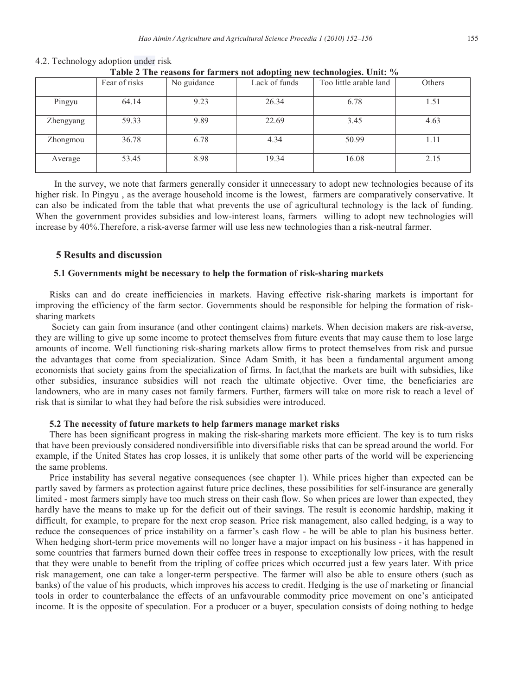| There $\frac{1}{2}$ and $\frac{1}{2}$ canceled by the manifold $\frac{1}{2}$ and $\frac{1}{2}$ are the controlled by $\frac{1}{2}$ |               |             |               |                        |        |  |  |  |  |
|------------------------------------------------------------------------------------------------------------------------------------|---------------|-------------|---------------|------------------------|--------|--|--|--|--|
|                                                                                                                                    | Fear of risks | No guidance | Lack of funds | Too little arable land | Others |  |  |  |  |
| Pingyu                                                                                                                             | 64.14         | 9.23        | 26.34         | 6.78                   | 1.51   |  |  |  |  |
| Zhengyang                                                                                                                          | 59.33         | 9.89        | 22.69         | 3.45                   | 4.63   |  |  |  |  |
| Zhongmou                                                                                                                           | 36.78         | 6.78        | 4.34          | 50.99                  | 1.11   |  |  |  |  |
| Average                                                                                                                            | 53.45         | 8.98        | 19.34         | 16.08                  | 2.15   |  |  |  |  |

# 4.2. Technology adoption under risk

**Table 2 The reasons for farmers not adopting new technologies. Unit: %**

I n the survey, we note that farmers generally consider it unnecessary to adopt new technologies because of its higher risk. In Pingyu , as the average household income is the lowest, farmers are comparatively conservative. It can also be indicated from the table that what prevents the use of agricultural technology is the lack of funding. When the government provides subsidies and low-interest loans, farmers willing to adopt new technologies will increase by 40%.Therefore, a risk-averse farmer will use less new technologies than a risk-neutral farmer.

# **5 Results and discussion**

# **5.1 Governments might be necessary to help the formation of risk-sharing markets**

Risks can and do create inefficiencies in markets. Having effective risk-sharing markets is important for improving the efficiency of the farm sector. Governments should be responsible for helping the formation of risksharing markets

Society can gain from insurance (and other contingent claims) markets. When decision makers are risk-averse, they are willing to give up some income to protect themselves from future events that may cause them to lose large amounts of income. Well functioning risk-sharing markets allow firms to protect themselves from risk and pursue the advantages that come from specialization. Since Adam Smith, it has been a fundamental argument among economists that society gains from the specialization of firms. In fact,that the markets are built with subsidies, like other subsidies, insurance subsidies will not reach the ultimate objective. Over time, the beneficiaries are landowners, who are in many cases not family farmers. Further, farmers will take on more risk to reach a level of risk that is similar to what they had before the risk subsidies were introduced.

#### **5.2 The necessity of future markets to help farmers manage market risks**

There has been significant progress in making the risk-sharing markets more efficient. The key is to turn risks that have been previously considered nondiversifible into diversifiable risks that can be spread around the world. For example, if the United States has crop losses, it is unlikely that some other parts of the world will be experiencing the same problems.

Price instability has several negative consequences (see chapter 1). While prices higher than expected can be partly saved by farmers as protection against future price declines, these possibilities for self-insurance are generally limited - most farmers simply have too much stress on their cash flow. So when prices are lower than expected, they hardly have the means to make up for the deficit out of their savings. The result is economic hardship, making it difficult, for example, to prepare for the next crop season. Price risk management, also called hedging, is a way to reduce the consequences of price instability on a farmer's cash flow - he will be able to plan his business better. When hedging short-term price movements will no longer have a major impact on his business - it has happened in some countries that farmers burned down their coffee trees in response to exceptionally low prices, with the result that they were unable to benefit from the tripling of coffee prices which occurred just a few years later. With price risk management, one can take a longer-term perspective. The farmer will also be able to ensure others (such as banks) of the value of his products, which improves his access to credit. Hedging is the use of marketing or financial tools in order to counterbalance the effects of an unfavourable commodity price movement on one's anticipated income. It is the opposite of speculation. For a producer or a buyer, speculation consists of doing nothing to hedge